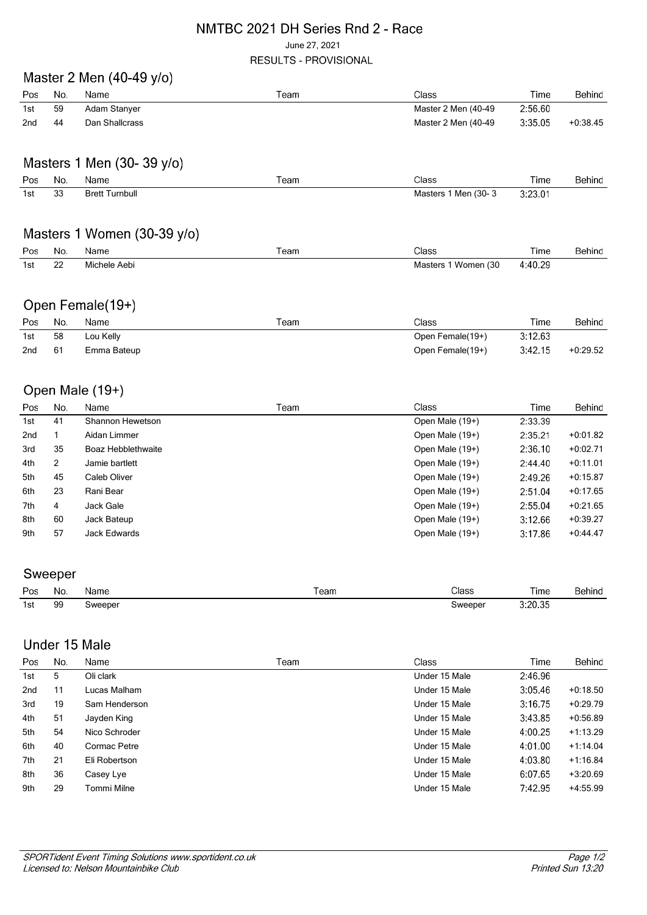#### NMTBC 2021 DH Series Rnd 2 - Race June 27, 2021 RESULTS - PROVISIONAL

## Master 2 Men (40-49 y/o)

| Pos | No. | Name           | Team | Class               | Time    | Behind     |
|-----|-----|----------------|------|---------------------|---------|------------|
| 1st | 59  | Adam Stanyer   |      | Master 2 Men (40-49 | 2:56.60 |            |
| 2nd | 44  | Dan Shallcrass |      | Master 2 Men (40-49 | 3:35.05 | $+0.38.45$ |

## Masters 1 Men (30-39 y/o)

| Pos | No. | Name                  | Team | Class                | Time    | Behind |
|-----|-----|-----------------------|------|----------------------|---------|--------|
| 1st | 33  | <b>Brett Turnbull</b> |      | Masters 1 Men (30-3) | 3:23.01 |        |

### Masters 1 Women (30-39 y/o)

| Pos | - No.        | Name              | eam | Class                | Time<br>. | Behind |
|-----|--------------|-------------------|-----|----------------------|-----------|--------|
| 1st | $\sim$<br>∠∠ | Aebi<br>Michele A |     | Women (30<br>Masters | 4:40.29   |        |

### Open Female(19+)

| Pos | No. | Name        | Team | Class            | Time    | Behind     |
|-----|-----|-------------|------|------------------|---------|------------|
| 1st | 58  | Lou Kelly   |      | Open Female(19+) | 3:12.63 |            |
| 2nd | -61 | Emma Bateup |      | Open Female(19+) | 3:42.15 | $+0.29.52$ |

# Open Male (19+)

| Pos             | No. | Name               | Team | Class           | Time    | Behind     |
|-----------------|-----|--------------------|------|-----------------|---------|------------|
| 1st             | 41  | Shannon Hewetson   |      | Open Male (19+) | 2:33.39 |            |
| 2 <sub>nd</sub> |     | Aidan Limmer       |      | Open Male (19+) | 2:35.21 | $+0.01.82$ |
| 3rd             | 35  | Boaz Hebblethwaite |      | Open Male (19+) | 2:36.10 | $+0.02.71$ |
| 4th             | 2   | Jamie bartlett     |      | Open Male (19+) | 2:44.40 | $+0:11.01$ |
| 5th             | 45  | Caleb Oliver       |      | Open Male (19+) | 2:49.26 | $+0.15.87$ |
| 6th             | 23  | Rani Bear          |      | Open Male (19+) | 2:51.04 | $+0.17.65$ |
| 7th             | 4   | Jack Gale          |      | Open Male (19+) | 2:55.04 | $+0.21.65$ |
| 8th             | 60  | Jack Bateup        |      | Open Male (19+) | 3:12.66 | $+0:39.27$ |
| 9th             | 57  | Jack Edwards       |      | Open Male (19+) | 3:17.86 | $+0.44.47$ |

### Sweeper

| Pos | No. | Name.   | eam | Class   | Time    | Behind |
|-----|-----|---------|-----|---------|---------|--------|
| 1st | 99  | sweeper |     | sweeper | 3:20.35 |        |

### Under 15 Male

| Pos.            | No. | Name          | Team | Class         | Time    | Behind     |
|-----------------|-----|---------------|------|---------------|---------|------------|
| 1st             | 5   | Oli clark     |      | Under 15 Male | 2:46.96 |            |
| 2 <sub>nd</sub> | 11  | Lucas Malham  |      | Under 15 Male | 3:05.46 | $+0.18.50$ |
| 3rd             | 19  | Sam Henderson |      | Under 15 Male | 3:16.75 | $+0.29.79$ |
| 4th             | 51  | Jayden King   |      | Under 15 Male | 3:43.85 | $+0.56.89$ |
| 5th             | 54  | Nico Schroder |      | Under 15 Male | 4:00.25 | $+1:13.29$ |
| 6th             | 40  | Cormac Petre  |      | Under 15 Male | 4:01.00 | $+1.14.04$ |
| 7th             | 21  | Eli Robertson |      | Under 15 Male | 4:03.80 | $+1:16.84$ |
| 8th             | 36  | Casey Lye     |      | Under 15 Male | 6:07.65 | $+3:20.69$ |
| 9th             | 29  | Tommi Milne   |      | Under 15 Male | 7:42.95 | $+4.55.99$ |